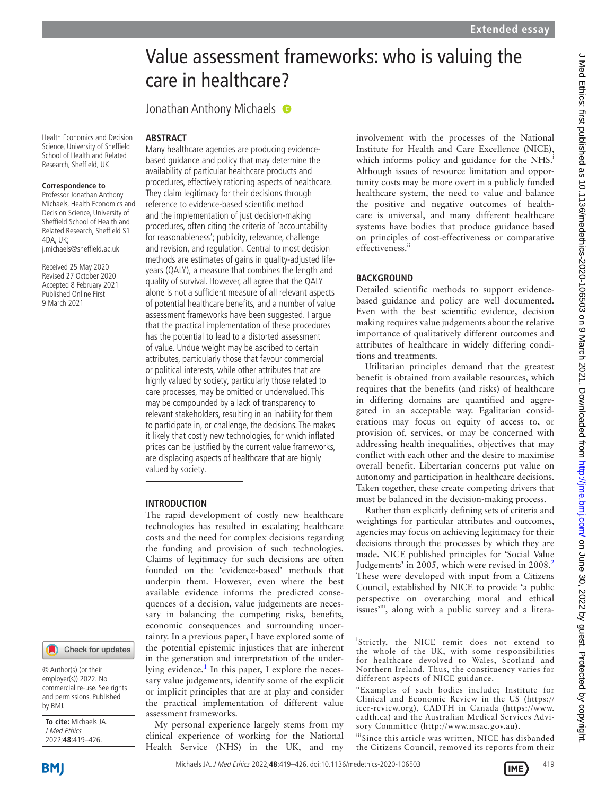# Value assessment frameworks: who is valuing the care in healthcare?

Jonathan Anthony Michaels  $\bullet$ 

**ABSTRACT**

#### Health Economics and Decision Science, University of Sheffield School of Health and Related Research, Sheffield, UK

#### **Correspondence to**

Professor Jonathan Anthony Michaels, Health Economics and Decision Science, University of Sheffield School of Health and Related Research, Sheffield S1  $4DA$ , UK $\cdot$ j.michaels@sheffield.ac.uk

Received 25 May 2020 Revised 27 October 2020 Accepted 8 February 2021 Published Online First 9 March 2021



© Author(s) (or their employer(s)) 2022. No commercial re-use. See rights and permissions. Published by BMJ.

**To cite:** Michaels JA. J Med Ethics 2022;**48**:419–426.

Many healthcare agencies are producing evidencebased guidance and policy that may determine the availability of particular healthcare products and procedures, effectively rationing aspects of healthcare. They claim legitimacy for their decisions through reference to evidence-based scientific method and the implementation of just decision-making procedures, often citing the criteria of 'accountability for reasonableness'; publicity, relevance, challenge and revision, and regulation. Central to most decision methods are estimates of gains in quality-adjusted lifeyears (QALY), a measure that combines the length and quality of survival. However, all agree that the QALY alone is not a sufficient measure of all relevant aspects of potential healthcare benefits, and a number of value assessment frameworks have been suggested. I argue that the practical implementation of these procedures has the potential to lead to a distorted assessment of value. Undue weight may be ascribed to certain attributes, particularly those that favour commercial or political interests, while other attributes that are highly valued by society, particularly those related to care processes, may be omitted or undervalued. This may be compounded by a lack of transparency to relevant stakeholders, resulting in an inability for them to participate in, or challenge, the decisions. The makes it likely that costly new technologies, for which inflated prices can be justified by the current value frameworks, are displacing aspects of healthcare that are highly valued by society.

## **INTRODUCTION**

The rapid development of costly new healthcare technologies has resulted in escalating healthcare costs and the need for complex decisions regarding the funding and provision of such technologies. Claims of legitimacy for such decisions are often founded on the 'evidence-based' methods that underpin them. However, even where the best available evidence informs the predicted consequences of a decision, value judgements are necessary in balancing the competing risks, benefits, economic consequences and surrounding uncertainty. In a previous paper, I have explored some of the potential epistemic injustices that are inherent in the generation and interpretation of the underlying evidence.<sup>1</sup> In this paper, I explore the necessary value judgements, identify some of the explicit or implicit principles that are at play and consider the practical implementation of different value assessment frameworks.

My personal experience largely stems from my clinical experience of working for the National Health Service (NHS) in the UK, and my

involvement with the processes of the National Institute for Health and Care Excellence (NICE), which informs policy and guidance for the NHS.<sup>i</sup> Although issues of resource limitation and opportunity costs may be more overt in a publicly funded healthcare system, the need to value and balance the positive and negative outcomes of healthcare is universal, and many different healthcare systems have bodies that produce guidance based on principles of cost-effectiveness or comparative effectiveness.ii

## **BACKGROUND**

Detailed scientific methods to support evidencebased guidance and policy are well documented. Even with the best scientific evidence, decision making requires value judgements about the relative importance of qualitatively different outcomes and attributes of healthcare in widely differing conditions and treatments.

Utilitarian principles demand that the greatest benefit is obtained from available resources, which requires that the benefits (and risks) of healthcare in differing domains are quantified and aggregated in an acceptable way. Egalitarian considerations may focus on equity of access to, or provision of, services, or may be concerned with addressing health inequalities, objectives that may conflict with each other and the desire to maximise overall benefit. Libertarian concerns put value on autonomy and participation in healthcare decisions. Taken together, these create competing drivers that must be balanced in the decision-making process.

Rather than explicitly defining sets of criteria and weightings for particular attributes and outcomes, agencies may focus on achieving legitimacy for their decisions through the processes by which they are made. NICE published principles for 'Social Value Judgements' in [2](#page-6-1)005, which were revised in 2008.<sup>2</sup> These were developed with input from a Citizens Council, established by NICE to provide 'a public perspective on overarching moral and ethical issues'<sup>iii</sup>, along with a public survey and a litera-

<sup>i</sup>Strictly, the NICE remit does not extend to the whole of the UK, with some responsibilities for healthcare devolved to Wales, Scotland and Northern Ireland. Thus, the constituency varies for different aspects of NICE guidance.

iiExamples of such bodies include; Institute for Clinical and Economic Review in the US ([https://](https://icer-review.org) [icer-review.org\)](https://icer-review.org), CADTH in Canada ([https://www.](https://www.cadth.ca) [cadth.ca](https://www.cadth.ca)) and the Australian Medical Services Advisory Committee (<http://www.msac.gov.au>).

iiiSince this article was written, NICE has disbanded the Citizens Council, removed its reports from their



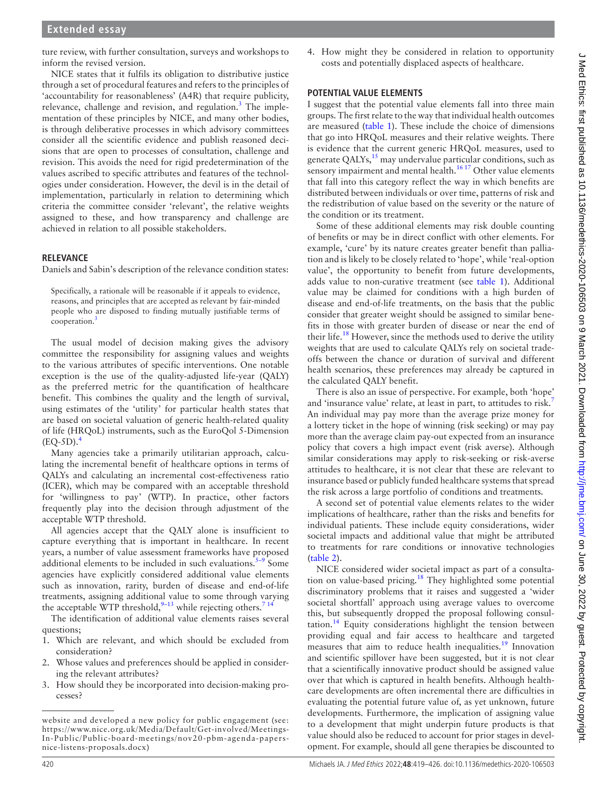ture review, with further consultation, surveys and workshops to inform the revised version.

NICE states that it fulfils its obligation to distributive justice through a set of procedural features and refers to the principles of 'accountability for reasonableness' (A4R) that require publicity, relevance, challenge and revision, and regulation.<sup>[3](#page-6-2)</sup> The implementation of these principles by NICE, and many other bodies, is through deliberative processes in which advisory committees consider all the scientific evidence and publish reasoned decisions that are open to processes of consultation, challenge and revision. This avoids the need for rigid predetermination of the values ascribed to specific attributes and features of the technologies under consideration. However, the devil is in the detail of implementation, particularly in relation to determining which criteria the committee consider 'relevant', the relative weights assigned to these, and how transparency and challenge are achieved in relation to all possible stakeholders.

## **RELEVANCE**

Daniels and Sabin's description of the relevance condition states:

Specifically, a rationale will be reasonable if it appeals to evidence, reasons, and principles that are accepted as relevant by fair-minded people who are disposed to finding mutually justifiable terms of cooperation.<sup>[3](#page-6-2)</sup>

The usual model of decision making gives the advisory committee the responsibility for assigning values and weights to the various attributes of specific interventions. One notable exception is the use of the quality-adjusted life-year (QALY) as the preferred metric for the quantification of healthcare benefit. This combines the quality and the length of survival, using estimates of the 'utility' for particular health states that are based on societal valuation of generic health-related quality of life (HRQoL) instruments, such as the EuroQol 5-Dimension  $(EO-5D).<sup>4</sup>$ 

Many agencies take a primarily utilitarian approach, calculating the incremental benefit of healthcare options in terms of QALYs and calculating an incremental cost-effectiveness ratio (ICER), which may be compared with an acceptable threshold for 'willingness to pay' (WTP). In practice, other factors frequently play into the decision through adjustment of the acceptable WTP threshold.

All agencies accept that the QALY alone is insufficient to capture everything that is important in healthcare. In recent years, a number of value assessment frameworks have proposed additional elements to be included in such evaluations. $5-9$  Some agencies have explicitly considered additional value elements such as innovation, rarity, burden of disease and end-of-life treatments, assigning additional value to some through varying the acceptable WTP threshold,  $9-13$  while rejecting others.<sup>714</sup>

The identification of additional value elements raises several questions;

- 1. Which are relevant, and which should be excluded from consideration?
- 2. Whose values and preferences should be applied in considering the relevant attributes?
- 3. How should they be incorporated into decision-making processes?

4. How might they be considered in relation to opportunity costs and potentially displaced aspects of healthcare.

### **POTENTIAL VALUE ELEMENTS**

I suggest that the potential value elements fall into three main groups. The first relate to the way that individual health outcomes are measured [\(table](#page-2-0) 1). These include the choice of dimensions that go into HRQoL measures and their relative weights. There is evidence that the current generic HRQoL measures, used to generate QALYs, $^{15}$  $^{15}$  $^{15}$  may undervalue particular conditions, such as sensory impairment and mental health.<sup>16 17</sup> Other value elements that fall into this category reflect the way in which benefits are distributed between individuals or over time, patterns of risk and the redistribution of value based on the severity or the nature of the condition or its treatment.

Some of these additional elements may risk double counting of benefits or may be in direct conflict with other elements. For example, 'cure' by its nature creates greater benefit than palliation and is likely to be closely related to 'hope', while 'real-option value', the opportunity to benefit from future developments, adds value to non-curative treatment (see [table](#page-2-0) 1). Additional value may be claimed for conditions with a high burden of disease and end-of-life treatments, on the basis that the public consider that greater weight should be assigned to similar benefits in those with greater burden of disease or near the end of their life.<sup>[18](#page-6-9)</sup> However, since the methods used to derive the utility weights that are used to calculate QALYs rely on societal tradeoffs between the chance or duration of survival and different health scenarios, these preferences may already be captured in the calculated QALY benefit.

There is also an issue of perspective. For example, both 'hope' and 'insurance value' relate, at least in part, to attitudes to risk.[7](#page-6-6) An individual may pay more than the average prize money for a lottery ticket in the hope of winning (risk seeking) or may pay more than the average claim pay-out expected from an insurance policy that covers a high impact event (risk averse). Although similar considerations may apply to risk-seeking or risk-averse attitudes to healthcare, it is not clear that these are relevant to insurance based or publicly funded healthcare systems that spread the risk across a large portfolio of conditions and treatments.

A second set of potential value elements relates to the wider implications of healthcare, rather than the risks and benefits for individual patients. These include equity considerations, wider societal impacts and additional value that might be attributed to treatments for rare conditions or innovative technologies ([table](#page-3-0) 2).

NICE considered wider societal impact as part of a consultation on value-based pricing.<sup>18</sup> They highlighted some potential discriminatory problems that it raises and suggested a 'wider societal shortfall' approach using average values to overcome this, but subsequently dropped the proposal following consultation.<sup>14</sup> Equity considerations highlight the tension between providing equal and fair access to healthcare and targeted measures that aim to reduce health inequalities.<sup>19</sup> Innovation and scientific spillover have been suggested, but it is not clear that a scientifically innovative product should be assigned value over that which is captured in health benefits. Although healthcare developments are often incremental there are difficulties in evaluating the potential future value of, as yet unknown, future developments. Furthermore, the implication of assigning value to a development that might underpin future products is that value should also be reduced to account for prior stages in development. For example, should all gene therapies be discounted to

website and developed a new policy for public engagement (see: [https://www.nice.org.uk/Media/Default/Get-involved/Meetings-](https://www.nice.org.uk/Media/Default/Get-involved/Meetings-In-Public/Public-board-meetings/nov20-pbm-agenda-papers-nice-listens-proposals.docx)[In-Public/Public-board-meetings/nov20-pbm-agenda-papers](https://www.nice.org.uk/Media/Default/Get-involved/Meetings-In-Public/Public-board-meetings/nov20-pbm-agenda-papers-nice-listens-proposals.docx)[nice-listens-proposals.docx](https://www.nice.org.uk/Media/Default/Get-involved/Meetings-In-Public/Public-board-meetings/nov20-pbm-agenda-papers-nice-listens-proposals.docx))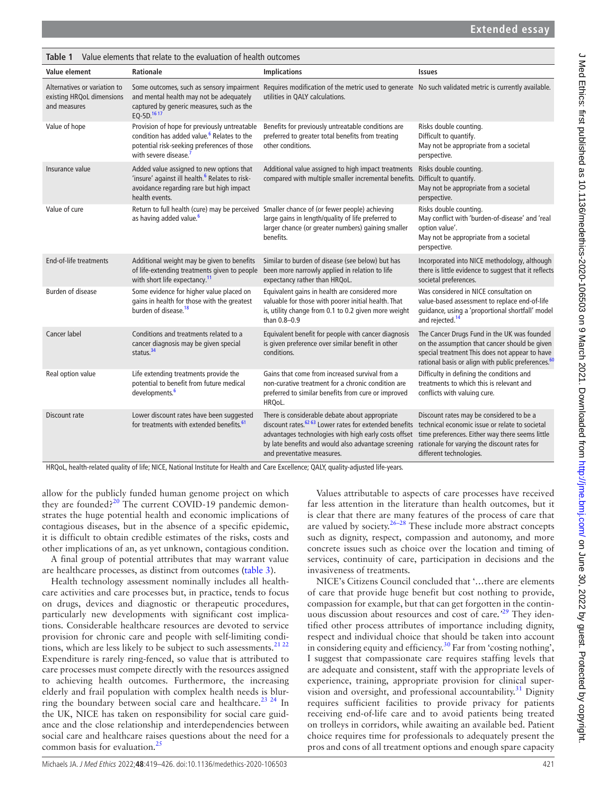<span id="page-2-0"></span>

| Value elements that relate to the evaluation of health outcomes<br>Table 1 |                                                                                                                                                                                            |                                                                                                                                                                                                                                                                   |                                                                                                                                                                                                                          |  |  |  |
|----------------------------------------------------------------------------|--------------------------------------------------------------------------------------------------------------------------------------------------------------------------------------------|-------------------------------------------------------------------------------------------------------------------------------------------------------------------------------------------------------------------------------------------------------------------|--------------------------------------------------------------------------------------------------------------------------------------------------------------------------------------------------------------------------|--|--|--|
| Value element                                                              | <b>Rationale</b>                                                                                                                                                                           | <b>Implications</b>                                                                                                                                                                                                                                               | <b>Issues</b>                                                                                                                                                                                                            |  |  |  |
| Alternatives or variation to<br>existing HRQoL dimensions<br>and measures  | and mental health may not be adequately<br>captured by generic measures, such as the<br>EQ-5D. <sup>1617</sup>                                                                             | Some outcomes, such as sensory impairment Requires modification of the metric used to generate No such validated metric is currently available.<br>utilities in QALY calculations.                                                                                |                                                                                                                                                                                                                          |  |  |  |
| Value of hope                                                              | Provision of hope for previously untreatable<br>condition has added value. <sup>6</sup> Relates to the<br>potential risk-seeking preferences of those<br>with severe disease. <sup>7</sup> | Benefits for previously untreatable conditions are<br>preferred to greater total benefits from treating<br>other conditions.                                                                                                                                      | Risks double counting.<br>Difficult to quantify.<br>May not be appropriate from a societal<br>perspective.                                                                                                               |  |  |  |
| Insurance value                                                            | Added value assigned to new options that<br>'insure' against ill health. <sup>6</sup> Relates to risk-<br>avoidance regarding rare but high impact<br>health events.                       | Additional value assigned to high impact treatments<br>compared with multiple smaller incremental benefits. Difficult to quantify.                                                                                                                                | Risks double counting.<br>May not be appropriate from a societal<br>perspective.                                                                                                                                         |  |  |  |
| Value of cure                                                              | as having added value. <sup>6</sup>                                                                                                                                                        | Return to full health (cure) may be perceived Smaller chance of (or fewer people) achieving<br>large gains in length/quality of life preferred to<br>larger chance (or greater numbers) gaining smaller<br>benefits.                                              | Risks double counting.<br>May conflict with 'burden-of-disease' and 'real<br>option value'.<br>May not be appropriate from a societal<br>perspective.                                                                    |  |  |  |
| <b>End-of-life treatments</b>                                              | Additional weight may be given to benefits<br>of life-extending treatments given to people<br>with short life expectancy. <sup>11</sup>                                                    | Similar to burden of disease (see below) but has<br>been more narrowly applied in relation to life<br>expectancy rather than HRQoL.                                                                                                                               | Incorporated into NICE methodology, although<br>there is little evidence to suggest that it reflects<br>societal preferences.                                                                                            |  |  |  |
| <b>Burden of disease</b>                                                   | Some evidence for higher value placed on<br>gains in health for those with the greatest<br>burden of disease. <sup>18</sup>                                                                | Equivalent gains in health are considered more<br>valuable for those with poorer initial health. That<br>is, utility change from 0.1 to 0.2 given more weight<br>than 0.8-0.9                                                                                     | Was considered in NICE consultation on<br>value-based assessment to replace end-of-life<br>guidance, using a 'proportional shortfall' model<br>and rejected. <sup>14</sup>                                               |  |  |  |
| Cancer label                                                               | Conditions and treatments related to a<br>cancer diagnosis may be given special<br>status. $34$                                                                                            | Equivalent benefit for people with cancer diagnosis<br>is given preference over similar benefit in other<br>conditions.                                                                                                                                           | The Cancer Drugs Fund in the UK was founded<br>on the assumption that cancer should be given<br>special treatment This does not appear to have<br>rational basis or align with public preferences. <sup>60</sup>         |  |  |  |
| Real option value                                                          | Life extending treatments provide the<br>potential to benefit from future medical<br>developments. <sup>6</sup>                                                                            | Gains that come from increased survival from a<br>non-curative treatment for a chronic condition are<br>preferred to similar benefits from cure or improved<br>HRQoL.                                                                                             | Difficulty in defining the conditions and<br>treatments to which this is relevant and<br>conflicts with valuing cure.                                                                                                    |  |  |  |
| Discount rate                                                              | Lower discount rates have been suggested<br>for treatments with extended benefits. <sup>61</sup>                                                                                           | There is considerable debate about appropriate<br>discount rates. <sup>62 63</sup> Lower rates for extended benefits<br>advantages technologies with high early costs offset<br>by late benefits and would also advantage screening<br>and preventative measures. | Discount rates may be considered to be a<br>technical economic issue or relate to societal<br>time preferences. Either way there seems little<br>rationale for varying the discount rates for<br>different technologies. |  |  |  |

HRQoL, health-related quality of life; NICE, National Institute for Health and Care Excellence; QALY, quality-adjusted life-years.

allow for the publicly funded human genome project on which they are founded? $20$  The current COVID-19 pandemic demonstrates the huge potential health and economic implications of contagious diseases, but in the absence of a specific epidemic, it is difficult to obtain credible estimates of the risks, costs and other implications of an, as yet unknown, contagious condition.

A final group of potential attributes that may warrant value are healthcare processes, as distinct from outcomes [\(table](#page-3-1) 3).

Health technology assessment nominally includes all healthcare activities and care processes but, in practice, tends to focus on drugs, devices and diagnostic or therapeutic procedures, particularly new developments with significant cost implications. Considerable healthcare resources are devoted to service provision for chronic care and people with self-limiting condi-tions, which are less likely to be subject to such assessments.<sup>[21 22](#page-6-13)</sup> Expenditure is rarely ring-fenced, so value that is attributed to care processes must compete directly with the resources assigned to achieving health outcomes. Furthermore, the increasing elderly and frail population with complex health needs is blurring the boundary between social care and healthcare.<sup>23 24</sup> In the UK, NICE has taken on responsibility for social care guidance and the close relationship and interdependencies between social care and healthcare raises questions about the need for a common basis for evaluation. $^{25}$ 

Values attributable to aspects of care processes have received far less attention in the literature than health outcomes, but it is clear that there are many features of the process of care that are valued by society. $26-28$  These include more abstract concepts such as dignity, respect, compassion and autonomy, and more concrete issues such as choice over the location and timing of services, continuity of care, participation in decisions and the invasiveness of treatments.

NICE's Citizens Council concluded that '…there are elements of care that provide huge benefit but cost nothing to provide, compassion for example, but that can get forgotten in the continuous discussion about resources and cost of care*.'*[29](#page-6-17) They identified other process attributes of importance including dignity, respect and individual choice that should be taken into account in considering equity and efficiency.[30](#page-6-18) Far from 'costing nothing', I suggest that compassionate care requires staffing levels that are adequate and consistent, staff with the appropriate levels of experience, training, appropriate provision for clinical super-vision and oversight, and professional accountability.<sup>[31](#page-6-19)</sup> Dignity requires sufficient facilities to provide privacy for patients receiving end-of-life care and to avoid patients being treated on trolleys in corridors, while awaiting an available bed. Patient choice requires time for professionals to adequately present the pros and cons of all treatment options and enough spare capacity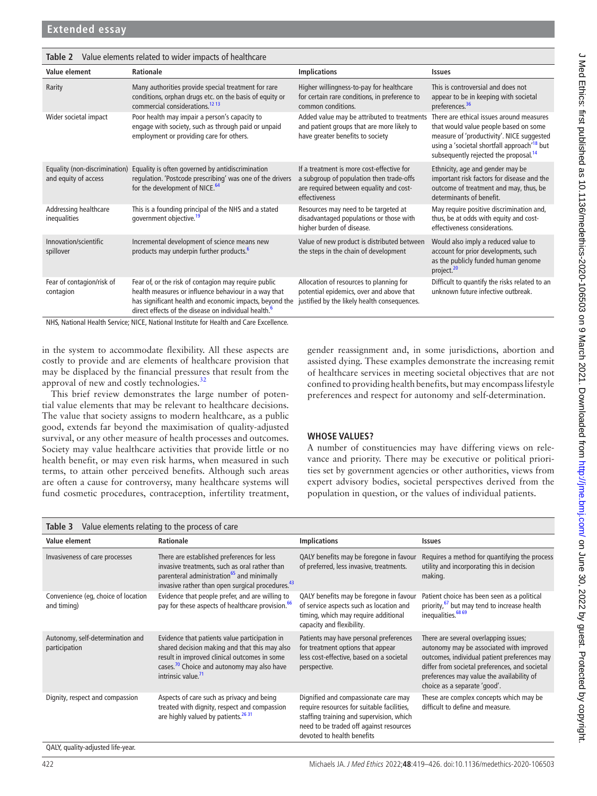| raide cicinents related to macrimipacts or neartheare                                  |                                                                                                                                                                                                                                             |                                                                                                                                                   |                                                                                                                                                                                                                                                |  |  |  |
|----------------------------------------------------------------------------------------|---------------------------------------------------------------------------------------------------------------------------------------------------------------------------------------------------------------------------------------------|---------------------------------------------------------------------------------------------------------------------------------------------------|------------------------------------------------------------------------------------------------------------------------------------------------------------------------------------------------------------------------------------------------|--|--|--|
| Value element                                                                          | Rationale                                                                                                                                                                                                                                   | <b>Implications</b>                                                                                                                               | <b>Issues</b>                                                                                                                                                                                                                                  |  |  |  |
| Rarity                                                                                 | Many authorities provide special treatment for rare<br>conditions, orphan drugs etc. on the basis of equity or<br>commercial considerations. <sup>12</sup> <sup>13</sup>                                                                    | Higher willingness-to-pay for healthcare<br>for certain rare conditions, in preference to<br>common conditions.                                   | This is controversial and does not<br>appear to be in keeping with societal<br>preferences. <sup>36</sup>                                                                                                                                      |  |  |  |
| Wider societal impact                                                                  | Poor health may impair a person's capacity to<br>engage with society, such as through paid or unpaid<br>employment or providing care for others.                                                                                            | Added value may be attributed to treatments<br>and patient groups that are more likely to<br>have greater benefits to society                     | There are ethical issues around measures<br>that would value people based on some<br>measure of 'productivity'. NICE suggested<br>using a 'societal shortfall approach' <sup>18</sup> but<br>subsequently rejected the proposal. <sup>14</sup> |  |  |  |
| Equality (non-discrimination)<br>and equity of access                                  | Equality is often governed by antidiscrimination<br>regulation. 'Postcode prescribing' was one of the drivers<br>for the development of NICE. <sup>64</sup>                                                                                 | If a treatment is more cost-effective for<br>a subgroup of population then trade-offs<br>are required between equality and cost-<br>effectiveness | Ethnicity, age and gender may be<br>important risk factors for disease and the<br>outcome of treatment and may, thus, be<br>determinants of benefit.                                                                                           |  |  |  |
| Addressing healthcare<br>inequalities                                                  | This is a founding principal of the NHS and a stated<br>government objective. <sup>19</sup>                                                                                                                                                 | Resources may need to be targeted at<br>disadvantaged populations or those with<br>higher burden of disease.                                      | May require positive discrimination and,<br>thus, be at odds with equity and cost-<br>effectiveness considerations.                                                                                                                            |  |  |  |
| Innovation/scientific<br>spillover                                                     | Incremental development of science means new<br>products may underpin further products. <sup>6</sup>                                                                                                                                        | Value of new product is distributed between<br>the steps in the chain of development                                                              | Would also imply a reduced value to<br>account for prior developments, such<br>as the publicly funded human genome<br>project. <sup>20</sup>                                                                                                   |  |  |  |
| Fear of contagion/risk of<br>contagion                                                 | Fear of, or the risk of contagion may require public<br>health measures or influence behaviour in a way that<br>has significant health and economic impacts, beyond the<br>direct effects of the disease on individual health. <sup>6</sup> | Allocation of resources to planning for<br>potential epidemics, over and above that<br>justified by the likely health consequences.               | Difficult to quantify the risks related to an<br>unknown future infective outbreak.                                                                                                                                                            |  |  |  |
| NHS, National Health Service; NICE, National Institute for Health and Care Excellence. |                                                                                                                                                                                                                                             |                                                                                                                                                   |                                                                                                                                                                                                                                                |  |  |  |

in the system to accommodate flexibility. All these aspects are costly to provide and are elements of healthcare provision that may be displaced by the financial pressures that result from the approval of new and costly technologies.<sup>32</sup>

<span id="page-3-0"></span>**Table 2** Value elements related to wider impacts of healthcare

This brief review demonstrates the large number of potential value elements that may be relevant to healthcare decisions. The value that society assigns to modern healthcare, as a public good, extends far beyond the maximisation of quality-adjusted survival, or any other measure of health processes and outcomes. Society may value healthcare activities that provide little or no health benefit, or may even risk harms, when measured in such terms, to attain other perceived benefits. Although such areas are often a cause for controversy, many healthcare systems will fund cosmetic procedures, contraception, infertility treatment,

gender reassignment and, in some jurisdictions, abortion and assisted dying. These examples demonstrate the increasing remit of healthcare services in meeting societal objectives that are not confined to providing health benefits, but may encompass lifestyle preferences and respect for autonomy and self-determination.

## **WHOSE VALUES?**

A number of constituencies may have differing views on relevance and priority. There may be executive or political priorities set by government agencies or other authorities, views from expert advisory bodies, societal perspectives derived from the population in question, or the values of individual patients.

<span id="page-3-1"></span>

| Value elements relating to the process of care<br>Table 3 |                                                                                                                                                                                                                                            |                                                                                                                                                                                                         |                                                                                                                                                                                                                                                                  |  |  |  |
|-----------------------------------------------------------|--------------------------------------------------------------------------------------------------------------------------------------------------------------------------------------------------------------------------------------------|---------------------------------------------------------------------------------------------------------------------------------------------------------------------------------------------------------|------------------------------------------------------------------------------------------------------------------------------------------------------------------------------------------------------------------------------------------------------------------|--|--|--|
| Value element                                             | Rationale                                                                                                                                                                                                                                  | <b>Implications</b>                                                                                                                                                                                     | <b>Issues</b>                                                                                                                                                                                                                                                    |  |  |  |
| Invasiveness of care processes                            | There are established preferences for less<br>invasive treatments, such as oral rather than<br>parenteral administration <sup>65</sup> and minimally<br>invasive rather than open surgical procedures. <sup>43</sup>                       | QALY benefits may be foregone in favour<br>of preferred, less invasive, treatments.                                                                                                                     | Requires a method for quantifying the process<br>utility and incorporating this in decision<br>making.                                                                                                                                                           |  |  |  |
| Convenience (eq, choice of location<br>and timing)        | Evidence that people prefer, and are willing to<br>pay for these aspects of healthcare provision. <sup>66</sup>                                                                                                                            | QALY benefits may be foregone in favour<br>of service aspects such as location and<br>timing, which may require additional<br>capacity and flexibility.                                                 | Patient choice has been seen as a political<br>priority, <sup>67</sup> but may tend to increase health<br>inequalities. <sup>68 69</sup>                                                                                                                         |  |  |  |
| Autonomy, self-determination and<br>participation         | Evidence that patients value participation in<br>shared decision making and that this may also<br>result in improved clinical outcomes in some<br>cases. <sup>70</sup> Choice and autonomy may also have<br>intrinsic value. <sup>71</sup> | Patients may have personal preferences<br>for treatment options that appear<br>less cost-effective, based on a societal<br>perspective.                                                                 | There are several overlapping issues;<br>autonomy may be associated with improved<br>outcomes, individual patient preferences may<br>differ from societal preferences, and societal<br>preferences may value the availability of<br>choice as a separate 'good'. |  |  |  |
| Dignity, respect and compassion                           | Aspects of care such as privacy and being<br>treated with dignity, respect and compassion<br>are highly valued by patients. <sup>26 31</sup>                                                                                               | Dignified and compassionate care may<br>require resources for suitable facilities,<br>staffing training and supervision, which<br>need to be traded off against resources<br>devoted to health benefits | These are complex concepts which may be<br>difficult to define and measure.                                                                                                                                                                                      |  |  |  |

QALY, quality-adjusted life-year.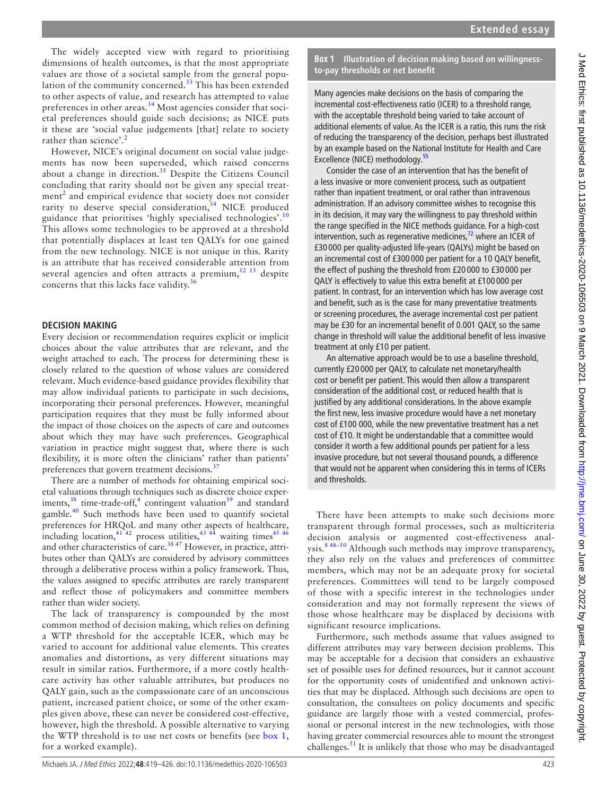The widely accepted view with regard to prioritising dimensions of health outcomes, is that the most appropriate values are those of a societal sample from the general population of the community concerned.<sup>33</sup> This has been extended to other aspects of value, and research has attempted to value preferences in other areas.<sup>[34](#page-6-22)</sup> Most agencies consider that societal preferences should guide such decisions; as NICE puts it these are 'social value judgements [that] relate to society rather than science'.<sup>[2](#page-6-1)</sup>

However, NICE's original document on social value judgements has now been superseded, which raised concerns about a change in direction.<sup>[35](#page-6-28)</sup> Despite the Citizens Council concluding that rarity should not be given any special treat-ment<sup>[2](#page-6-1)</sup> and empirical evidence that society does not consider rarity to deserve special consideration,<sup>[34](#page-6-22)</sup> NICE produced guidance that prioritises 'highly specialised technologies'.[10](#page-6-29) This allows some technologies to be approved at a threshold that potentially displaces at least ten QALYs for one gained from the new technology. NICE is not unique in this. Rarity is an attribute that has received considerable attention from several agencies and often attracts a premium, $12 13$  despite concerns that this lacks face validity.<sup>[36](#page-6-25)</sup>

## **DECISION MAKING**

Every decision or recommendation requires explicit or implicit choices about the value attributes that are relevant, and the weight attached to each. The process for determining these is closely related to the question of whose values are considered relevant. Much evidence-based guidance provides flexibility that may allow individual patients to participate in such decisions, incorporating their personal preferences. However, meaningful participation requires that they must be fully informed about the impact of those choices on the aspects of care and outcomes about which they may have such preferences. Geographical variation in practice might suggest that, where there is such flexibility, it is more often the clinicians' rather than patients' preferences that govern treatment decisions.<sup>[37](#page-6-30)</sup>

There are a number of methods for obtaining empirical societal valuations through techniques such as discrete choice experiments,  $38$  time-trade-off,<sup>[4](#page-6-3)</sup> contingent valuation<sup>[39](#page-6-32)</sup> and standard gamble.<sup>40</sup> Such methods have been used to quantify societal preferences for HRQoL and many other aspects of healthcare, including location,  $41\frac{42}{2}$  process utilities,  $43\frac{43}{4}$  waiting times  $45\frac{46}{4}$ and other characteristics of care.<sup>38 47</sup> However, in practice, attributes other than QALYs are considered by advisory committees through a deliberative process within a policy framework. Thus, the values assigned to specific attributes are rarely transparent and reflect those of policymakers and committee members rather than wider society.

The lack of transparency is compounded by the most common method of decision making, which relies on defining a WTP threshold for the acceptable ICER, which may be varied to account for additional value elements. This creates anomalies and distortions, as very different situations may result in similar ratios. Furthermore, if a more costly healthcare activity has other valuable attributes, but produces no QALY gain, such as the compassionate care of an unconscious patient, increased patient choice, or some of the other examples given above, these can never be considered cost-effective, however, high the threshold. A possible alternative to varying the WTP threshold is to use net costs or benefits (see [box](#page-4-0) 1, for a worked example).

## **Box 1 Illustration of decision making based on willingnessto-pay thresholds or net benefit**

<span id="page-4-0"></span>Many agencies make decisions on the basis of comparing the incremental cost-effectiveness ratio (ICER) to a threshold range, with the acceptable threshold being varied to take account of additional elements of value. As the ICER is a ratio, this runs the risk of reducing the transparency of the decision, perhaps best illustrated by an example based on the National Institute for Health and Care Excellence (NICE) methodology[.55](#page-7-10)

Consider the case of an intervention that has the benefit of a less invasive or more convenient process, such as outpatient rather than inpatient treatment, or oral rather than intravenous administration. If an advisory committee wishes to recognise this in its decision, it may vary the willingness to pay threshold within the range specified in the NICE methods guidance. For a high-cost intervention, such as regenerative medicines, $72$  where an ICER of £30 000 per quality-adjusted life-years (QALYs) might be based on an incremental cost of £300 000 per patient for a 10 QALY benefit, the effect of pushing the threshold from £20 000 to £30 000 per QALY is effectively to value this extra benefit at £100 000 per patient. In contrast, for an intervention which has low average cost and benefit, such as is the case for many preventative treatments or screening procedures, the average incremental cost per patient may be £30 for an incremental benefit of 0.001 QALY, so the same change in threshold will value the additional benefit of less invasive treatment at only £10 per patient.

An alternative approach would be to use a baseline threshold, currently £20 000 per QALY, to calculate net monetary/health cost or benefit per patient. This would then allow a transparent consideration of the additional cost, or reduced health that is justified by any additional considerations. In the above example the first new, less invasive procedure would have a net monetary cost of £100 000, while the new preventative treatment has a net cost of £10. It might be understandable that a committee would consider it worth a few additional pounds per patient for a less invasive procedure, but not several thousand pounds, a difference that would not be apparent when considering this in terms of ICERs and thresholds.

There have been attempts to make such decisions more transparent through formal processes, such as multicriteria decision analysis or augmented cost-effectiveness analysis.<sup>8 48-50</sup> Although such methods may improve transparency, they also rely on the values and preferences of committee members, which may not be an adequate proxy for societal preferences. Committees will tend to be largely composed of those with a specific interest in the technologies under consideration and may not formally represent the views of those whose healthcare may be displaced by decisions with significant resource implications.

Furthermore, such methods assume that values assigned to different attributes may vary between decision problems. This may be acceptable for a decision that considers an exhaustive set of possible uses for defined resources, but it cannot account for the opportunity costs of unidentified and unknown activities that may be displaced. Although such decisions are open to consultation, the consultees on policy documents and specific guidance are largely those with a vested commercial, professional or personal interest in the new technologies, with those having greater commercial resources able to mount the strongest challenges.<sup>[51](#page-6-37)</sup> It is unlikely that those who may be disadvantaged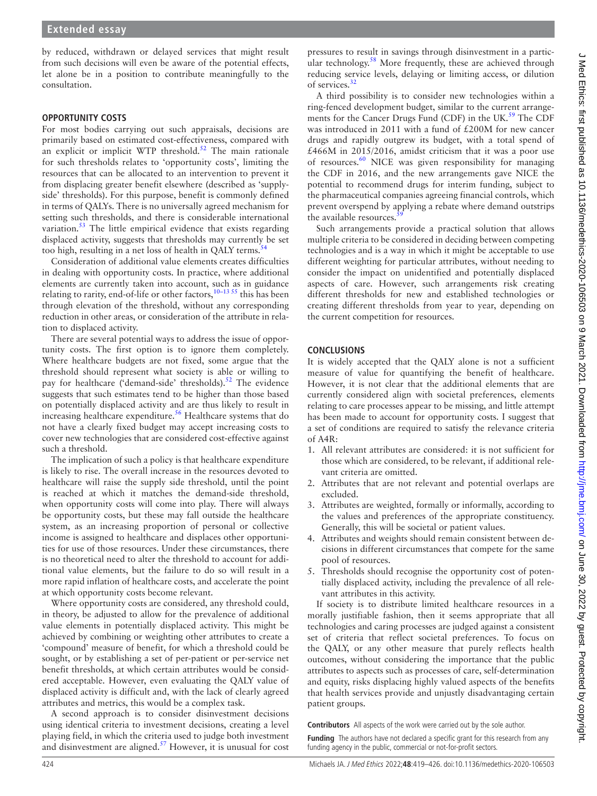by reduced, withdrawn or delayed services that might result from such decisions will even be aware of the potential effects, let alone be in a position to contribute meaningfully to the consultation.

## **OPPORTUNITY COSTS**

For most bodies carrying out such appraisals, decisions are primarily based on estimated cost-effectiveness, compared with an explicit or implicit WTP threshold.<sup>[52](#page-6-38)</sup> The main rationale for such thresholds relates to 'opportunity costs', limiting the resources that can be allocated to an intervention to prevent it from displacing greater benefit elsewhere (described as 'supplyside' thresholds). For this purpose, benefit is commonly defined in terms of QALYs. There is no universally agreed mechanism for setting such thresholds, and there is considerable international variation.<sup>[53](#page-6-39)</sup> The little empirical evidence that exists regarding displaced activity, suggests that thresholds may currently be set too high, resulting in a net loss of health in QALY terms.<sup>54</sup>

Consideration of additional value elements creates difficulties in dealing with opportunity costs. In practice, where additional elements are currently taken into account, such as in guidance relating to rarity, end-of-life or other factors,  $10-13$  55 this has been through elevation of the threshold, without any corresponding reduction in other areas, or consideration of the attribute in relation to displaced activity.

There are several potential ways to address the issue of opportunity costs. The first option is to ignore them completely. Where healthcare budgets are not fixed, some argue that the threshold should represent what society is able or willing to pay for healthcare ('demand-side' thresholds).<sup>52</sup> The evidence suggests that such estimates tend to be higher than those based on potentially displaced activity and are thus likely to result in increasing healthcare expenditure.<sup>[56](#page-7-12)</sup> Healthcare systems that do not have a clearly fixed budget may accept increasing costs to cover new technologies that are considered cost-effective against such a threshold.

The implication of such a policy is that healthcare expenditure is likely to rise. The overall increase in the resources devoted to healthcare will raise the supply side threshold, until the point is reached at which it matches the demand-side threshold, when opportunity costs will come into play. There will always be opportunity costs, but these may fall outside the healthcare system, as an increasing proportion of personal or collective income is assigned to healthcare and displaces other opportunities for use of those resources. Under these circumstances, there is no theoretical need to alter the threshold to account for additional value elements, but the failure to do so will result in a more rapid inflation of healthcare costs, and accelerate the point at which opportunity costs become relevant.

Where opportunity costs are considered, any threshold could, in theory, be adjusted to allow for the prevalence of additional value elements in potentially displaced activity. This might be achieved by combining or weighting other attributes to create a 'compound' measure of benefit, for which a threshold could be sought, or by establishing a set of per-patient or per-service net benefit thresholds, at which certain attributes would be considered acceptable. However, even evaluating the QALY value of displaced activity is difficult and, with the lack of clearly agreed attributes and metrics, this would be a complex task.

A second approach is to consider disinvestment decisions using identical criteria to investment decisions, creating a level playing field, in which the criteria used to judge both investment and disinvestment are aligned.[57](#page-7-13) However, it is unusual for cost

pressures to result in savings through disinvestment in a particular technology.<sup>58</sup> More frequently, these are achieved through reducing service levels, delaying or limiting access, or dilution of services.<sup>[32](#page-6-23)</sup>

A third possibility is to consider new technologies within a ring-fenced development budget, similar to the current arrange-ments for the Cancer Drugs Fund (CDF) in the UK.<sup>[59](#page-7-15)</sup> The CDF was introduced in 2011 with a fund of £200M for new cancer drugs and rapidly outgrew its budget, with a total spend of £466M in 2015/2016, amidst criticism that it was a poor use of resources.<sup>60</sup> NICE was given responsibility for managing the CDF in 2016, and the new arrangements gave NICE the potential to recommend drugs for interim funding, subject to the pharmaceutical companies agreeing financial controls, which prevent overspend by applying a rebate where demand outstrips the available resources.

Such arrangements provide a practical solution that allows multiple criteria to be considered in deciding between competing technologies and is a way in which it might be acceptable to use different weighting for particular attributes, without needing to consider the impact on unidentified and potentially displaced aspects of care. However, such arrangements risk creating different thresholds for new and established technologies or creating different thresholds from year to year, depending on the current competition for resources.

## **CONCLUSIONS**

It is widely accepted that the QALY alone is not a sufficient measure of value for quantifying the benefit of healthcare. However, it is not clear that the additional elements that are currently considered align with societal preferences, elements relating to care processes appear to be missing, and little attempt has been made to account for opportunity costs. I suggest that a set of conditions are required to satisfy the relevance criteria of A4R:

- 1. All relevant attributes are considered: it is not sufficient for those which are considered, to be relevant, if additional relevant criteria are omitted.
- 2. Attributes that are not relevant and potential overlaps are excluded.
- 3. Attributes are weighted, formally or informally, according to the values and preferences of the appropriate constituency. Generally, this will be societal or patient values.
- 4. Attributes and weights should remain consistent between decisions in different circumstances that compete for the same pool of resources.
- 5. Thresholds should recognise the opportunity cost of potentially displaced activity, including the prevalence of all relevant attributes in this activity.

If society is to distribute limited healthcare resources in a morally justifiable fashion, then it seems appropriate that all technologies and caring processes are judged against a consistent set of criteria that reflect societal preferences. To focus on the QALY, or any other measure that purely reflects health outcomes, without considering the importance that the public attributes to aspects such as processes of care, self-determination and equity, risks displacing highly valued aspects of the benefits that health services provide and unjustly disadvantaging certain patient groups.

**Contributors** All aspects of the work were carried out by the sole author.

**Funding** The authors have not declared a specific grant for this research from any funding agency in the public, commercial or not-for-profit sectors.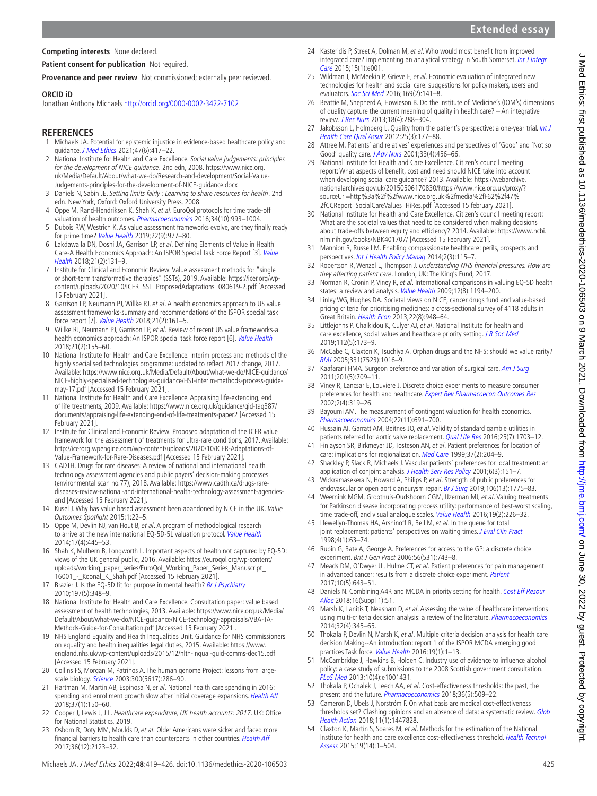## **Competing interests** None declared.

## **Patient consent for publication** Not required.

**Provenance and peer review** Not commissioned; externally peer reviewed.

#### **ORCID iD**

Jonathan Anthony Michaels <http://orcid.org/0000-0002-3422-7102>

## **REFERENCES**

- <span id="page-6-0"></span>1 Michaels JA. Potential for epistemic injustice in evidence-based healthcare policy and guidance. [J Med Ethics](http://dx.doi.org/10.1136/medethics-2020-106171) 2021;47(6):417-22.
- <span id="page-6-1"></span>2 National Institute for Health and Care Excellence. Social value judgements: principles for the development of NICE guidance. 2nd edn, 2008. [https://www.nice.org.](https://www.nice.org.uk/Media/Default/About/what-we-do/Research-and-development/Social-Value-Judgements-principles-for-the-development-of-NICE-guidance.docx) [uk/Media/Default/About/what-we-do/Research-and-development/Social-Value-](https://www.nice.org.uk/Media/Default/About/what-we-do/Research-and-development/Social-Value-Judgements-principles-for-the-development-of-NICE-guidance.docx)[Judgements-principles-for-the-development-of-NICE-guidance.docx](https://www.nice.org.uk/Media/Default/About/what-we-do/Research-and-development/Social-Value-Judgements-principles-for-the-development-of-NICE-guidance.docx)
- <span id="page-6-2"></span>3 Daniels N, Sabin JE. Setting limits fairly : Learning to share resources for health. 2nd edn. New York, Oxford: Oxford University Press, 2008.
- <span id="page-6-3"></span>Oppe M, Rand-Hendriksen K, Shah K, et al. EuroQol protocols for time trade-off valuation of health outcomes. [Pharmacoeconomics](http://dx.doi.org/10.1007/s40273-016-0404-1) 2016;34(10):993-1004.
- <span id="page-6-4"></span>5 Dubois RW, Westrich K. As value assessment frameworks evolve, are they finally ready for prime time? [Value Health](http://dx.doi.org/10.1016/j.jval.2019.06.002) 2019;22(9):977–80.
- <span id="page-6-20"></span>6 Lakdawalla DN, Doshi JA, Garrison LP, et al. Defining Elements of Value in Health Care-A Health Economics Approach: An ISPOR Special Task Force Report [3]. [Value](http://dx.doi.org/10.1016/j.jval.2017.12.007)  [Health](http://dx.doi.org/10.1016/j.jval.2017.12.007) 2018;21(2):131–9.
- <span id="page-6-6"></span>7 Institute for Clinical and Economic Review. Value assessment methods for "single or short-term transformative therapies" (SSTs), 2019. Available: [https://icer.org/wp](https://icer.org/wp-content/uploads/2020/10/ICER_SST_ProposedAdaptations_080619-2.pdf)[content/uploads/2020/10/ICER\\_SST\\_ProposedAdaptations\\_080619-2.pdf](https://icer.org/wp-content/uploads/2020/10/ICER_SST_ProposedAdaptations_080619-2.pdf) [Accessed 15 February 2021].
- <span id="page-6-36"></span>8 Garrison LP, Neumann PJ, Willke RJ, et al. A health economics approach to US value assessment frameworks-summary and recommendations of the ISPOR special task force report [7]. [Value Health](http://dx.doi.org/10.1016/j.jval.2017.12.009) 2018;21(2):161-5.
- <span id="page-6-5"></span>9 Willke RJ, Neumann PJ, Garrison LP, et al. Review of recent US value frameworks-a health economics approach: An ISPOR special task force report [6]. [Value Health](http://dx.doi.org/10.1016/j.jval.2017.12.011) 2018;21(2):155–60.
- <span id="page-6-29"></span>10 National Institute for Health and Care Excellence. Interim process and methods of the highly specialised technologies programme: updated to reflect 2017 change, 2017. Available: [https://www.nice.org.uk/Media/Default/About/what-we-do/NICE-guidance/](https://www.nice.org.uk/Media/Default/About/what-we-do/NICE-guidance/NICE-highly-specialised-technologies-guidance/HST-interim-methods-process-guide-may-17.pdf) [NICE-highly-specialised-technologies-guidance/HST-interim-methods-process-guide](https://www.nice.org.uk/Media/Default/About/what-we-do/NICE-guidance/NICE-highly-specialised-technologies-guidance/HST-interim-methods-process-guide-may-17.pdf)[may-17.pdf](https://www.nice.org.uk/Media/Default/About/what-we-do/NICE-guidance/NICE-highly-specialised-technologies-guidance/HST-interim-methods-process-guide-may-17.pdf) [Accessed 15 February 2021].
- <span id="page-6-21"></span>11 National Institute for Health and Care Excellence. Appraising life-extending, end of life treatments, 2009. Available: [https://www.nice.org.uk/guidance/gid-tag387/](https://www.nice.org.uk/guidance/gid-tag387/documents/appraising-life-extending-end-of-life-treatments-paper2) [documents/appraising-life-extending-end-of-life-treatments-paper2](https://www.nice.org.uk/guidance/gid-tag387/documents/appraising-life-extending-end-of-life-treatments-paper2) [Accessed 15 February 2021].
- <span id="page-6-24"></span>12 Institute for Clinical and Economic Review. Proposed adaptation of the ICER value framework for the assessment of treatments for ultra-rare conditions, 2017. Available: [http://icerorg.wpengine.com/wp-content/uploads/2020/10/ICER-Adaptations-of-](http://icerorg.wpengine.com/wp-content/uploads/2020/10/ICER-Adaptations-of-Value-Framework-for-Rare-Diseases.pdf)[Value-Framework-for-Rare-Diseases.pdf](http://icerorg.wpengine.com/wp-content/uploads/2020/10/ICER-Adaptations-of-Value-Framework-for-Rare-Diseases.pdf) [Accessed 15 February 2021].
- 13 CADTH. Drugs for rare diseases: A review of national and international health technology assessment agencies and public payers' decision-making processes (environmental scan no.77), 2018. Available: [https://www.cadth.ca/drugs-rare](https://www.cadth.ca/drugs-rare-diseases-review-national-and-international-health-technology-assessment-agencies-and)[diseases-review-national-and-international-health-technology-assessment-agencies](https://www.cadth.ca/drugs-rare-diseases-review-national-and-international-health-technology-assessment-agencies-and)[and](https://www.cadth.ca/drugs-rare-diseases-review-national-and-international-health-technology-assessment-agencies-and) [Accessed 15 February 2021].
- <span id="page-6-10"></span>14 Kusel J. Why has value based assessment been abandoned by NICE in the UK. Value Outcomes Spotlight 2015;1:22–5.
- <span id="page-6-7"></span>15 Oppe M, Devlin NJ, van Hout B, et al. A program of methodological research to arrive at the new international EQ-5D-5L valuation protocol. [Value Health](http://dx.doi.org/10.1016/j.jval.2014.04.002) 2014;17(4):445–53.
- <span id="page-6-8"></span>16 Shah K, Mulhern B, Longworth L. Important aspects of health not captured by EQ-5D: views of the UK general public, 2016. Available: [https://euroqol.org/wp-content/](https://euroqol.org/wp-content/uploads/working_paper_series/EuroQol_Working_Paper_Series_Manuscript_16001_-_Koonal_K_Shah.pdf) uploads/working\_paper\_series/EuroQol\_Working\_Paper\_Series\_Manuscript [16001\\_-\\_Koonal\\_K\\_Shah.pdf](https://euroqol.org/wp-content/uploads/working_paper_series/EuroQol_Working_Paper_Series_Manuscript_16001_-_Koonal_K_Shah.pdf) [Accessed 15 February 2021].
- 17 Brazier J. Is the EQ-5D fit for purpose in mental health? [Br J Psychiatry](http://dx.doi.org/10.1192/bjp.bp.110.082453) 2010;197(5):348–9.
- <span id="page-6-9"></span>18 National Institute for Health and Care Excellence. Consultation paper: value based assessment of health technologies, 2013. Available: [https://www.nice.org.uk/Media/](https://www.nice.org.uk/Media/Default/About/what-we-do/NICE-guidance/NICE-technology-appraisals/VBA-TA-Methods-Guide-for-Consultation.pdf) [Default/About/what-we-do/NICE-guidance/NICE-technology-appraisals/VBA-TA-](https://www.nice.org.uk/Media/Default/About/what-we-do/NICE-guidance/NICE-technology-appraisals/VBA-TA-Methods-Guide-for-Consultation.pdf)[Methods-Guide-for-Consultation.pdf](https://www.nice.org.uk/Media/Default/About/what-we-do/NICE-guidance/NICE-technology-appraisals/VBA-TA-Methods-Guide-for-Consultation.pdf) [Accessed 15 February 2021].
- <span id="page-6-11"></span>19 NHS England Equality and Health Inequalities Unit. Guidance for NHS commissioners on equality and health inequalities legal duties, 2015. Available: [https://www.](https://www.england.nhs.uk/wp-content/uploads/2015/12/hlth-inqual-guid-comms-dec15.pdf) [england.nhs.uk/wp-content/uploads/2015/12/hlth-inqual-guid-comms-dec15.pdf](https://www.england.nhs.uk/wp-content/uploads/2015/12/hlth-inqual-guid-comms-dec15.pdf)  [Accessed 15 February 2021].
- <span id="page-6-12"></span>20 Collins FS, Morgan M, Patrinos A. The human genome Project: lessons from large-scale biology. [Science](http://dx.doi.org/10.1126/science.1084564) 2003;300(5617):286-90.
- <span id="page-6-13"></span>21 Hartman M, Martin AB, Espinosa N, et al. National health care spending in 2016: spending and enrollment growth slow after initial coverage expansions. [Health Aff](http://dx.doi.org/10.1377/hlthaff.2017.1299) 2018;37(1):150–60.
- 22 Cooper J, Lewis J, J L. Healthcare expenditure, UK health accounts: 2017. UK: Office for National Statistics, 2019.
- <span id="page-6-14"></span>23 Osborn R, Doty MM, Moulds D, et al. Older Americans were sicker and faced more financial barriers to health care than counterparts in other countries. [Health Aff](http://dx.doi.org/10.1377/hlthaff.2017.1048) 2017;36(12):2123–32.
- 24 Kasteridis P, Street A, Dolman M, et al. Who would most benefit from improved integrated care? implementing an analytical strategy in South Somerset. Int J Integr [Care](http://dx.doi.org/10.5334/ijic.1594) 2015;15(1):e001.
- <span id="page-6-15"></span>25 Wildman J, McMeekin P, Grieve E, et al. Economic evaluation of integrated new technologies for health and social care: suggestions for policy makers, users and evaluators. [Soc Sci Med](http://dx.doi.org/10.1016/j.socscimed.2016.09.033) 2016;169(2):141–8.
- <span id="page-6-16"></span>26 Beattie M, Shepherd A, Howieson B. Do the Institute of Medicine's (IOM's) dimensions of quality capture the current meaning of quality in health care? – An integrative review. [J Res Nurs](http://dx.doi.org/10.1177/1744987112440568) 2013;18(4):288–304.
- 27 Jakobsson L, Holmberg L. Quality from the patient's perspective: a one-year trial. Int J [Health Care Qual Assur](http://dx.doi.org/10.1108/09526861211210402) 2012;25(3):177–88.
- 28 Attree M. Patients' and relatives' experiences and perspectives of 'Good' and 'Not so Good' quality care. [J Adv Nurs](http://dx.doi.org/10.1046/j.1365-2648.2001.01689.x) 2001;33(4):456-66.
- <span id="page-6-17"></span>29 National Institute for Health and Care Excellence. Citizen's council meeting report: What aspects of benefit, cost and need should NICE take into account when developing social care guidance? 2013. Available: [https://webarchive.](https://webarchive.nationalarchives.gov.uk/20150506170830/https://www.nice.org.uk/proxy/?sourceUrl=http%3a%2f%2fwww.nice.org.uk%2fmedia%2fF62%2f47%2fCCReport_SocialCareValues_HiRes.pdf) [nationalarchives.gov.uk/20150506170830/https://www.nice.org.uk/proxy/?](https://webarchive.nationalarchives.gov.uk/20150506170830/https://www.nice.org.uk/proxy/?sourceUrl=http%3a%2f%2fwww.nice.org.uk%2fmedia%2fF62%2f47%2fCCReport_SocialCareValues_HiRes.pdf) [sourceUrl=http%3a%2f%2fwww.nice.org.uk%2fmedia%2fF62%2f47%](https://webarchive.nationalarchives.gov.uk/20150506170830/https://www.nice.org.uk/proxy/?sourceUrl=http%3a%2f%2fwww.nice.org.uk%2fmedia%2fF62%2f47%2fCCReport_SocialCareValues_HiRes.pdf) [2fCCReport\\_SocialCareValues\\_HiRes.pdf](https://webarchive.nationalarchives.gov.uk/20150506170830/https://www.nice.org.uk/proxy/?sourceUrl=http%3a%2f%2fwww.nice.org.uk%2fmedia%2fF62%2f47%2fCCReport_SocialCareValues_HiRes.pdf) [Accessed 15 february 2021].
- <span id="page-6-18"></span>30 National Institute for Health and Care Excellence. Citizen's council meeting report: What are the societal values that need to be considered when making decisions about trade-offs between equity and efficiency? 2014. Available: [https://www.ncbi.](https://www.ncbi.nlm.nih.gov/books/NBK401707/) [nlm.nih.gov/books/NBK401707/](https://www.ncbi.nlm.nih.gov/books/NBK401707/) [Accessed 15 February 2021].
- <span id="page-6-19"></span>31 Mannion R, Russell M. Enabling compassionate healthcare: perils, prospects and perspectives. [Int J Health Policy Manag](http://dx.doi.org/10.15171/ijhpm.2014.34) 2014;2(3):115-7.
- <span id="page-6-23"></span>32 Robertson R, Wenzel L, Thompson J. Understanding NHS financial pressures. How are they affecting patient care. London, UK: The King's Fund, 2017.
- <span id="page-6-27"></span>33 Norman R, Cronin P, Viney R, et al. International comparisons in valuing EQ-5D health states: a review and analysis. [Value Health](http://dx.doi.org/10.1111/j.1524-4733.2009.00581.x) 2009;12(8):1194-200.
- <span id="page-6-22"></span>34 Linley WG, Hughes DA. Societal views on NICE, cancer drugs fund and value-based pricing criteria for prioritising medicines: a cross-sectional survey of 4118 adults in Great Britain. [Health Econ](http://dx.doi.org/10.1002/hec.2872) 2013;22(8):948–64.
- <span id="page-6-28"></span>35 Littlejohns P, Chalkidou K, Culyer AJ, et al. National Institute for health and care excellence, social values and healthcare priority setting. [J R Soc Med](http://dx.doi.org/10.1177/0141076819842846) 2019;112(5):173–9.
- <span id="page-6-25"></span>36 McCabe C, Claxton K, Tsuchiya A. Orphan drugs and the NHS: should we value rarity? [BMJ](http://dx.doi.org/10.1136/bmj.331.7523.1016) 2005;331(7523):1016–9.
- <span id="page-6-30"></span>37 Kaafarani HMA. Surgeon preference and variation of surgical care. [Am J Surg](http://dx.doi.org/10.1016/j.amjsurg.2010.03.006) 2011;201(5):709–11.
- <span id="page-6-31"></span>38 Viney R, Lancsar E, Louviere J. Discrete choice experiments to measure consumer preferences for health and healthcare. [Expert Rev Pharmacoecon Outcomes Res](http://dx.doi.org/10.1586/14737167.2.4.319) 2002;2(4):319–26.
- <span id="page-6-32"></span>39 Bayoumi AM. The measurement of contingent valuation for health economics. [Pharmacoeconomics](http://dx.doi.org/10.2165/00019053-200422110-00001) 2004;22(11):691–700.
- <span id="page-6-33"></span>40 Hussain AI, Garratt AM, Beitnes JO, et al. Validity of standard gamble utilities in patients referred for aortic valve replacement. [Qual Life Res](http://dx.doi.org/10.1007/s11136-015-1186-1) 2016;25(7):1703-12.
- <span id="page-6-34"></span>41 Finlayson SR, Birkmeyer JD, Tosteson AN, et al. Patient preferences for location of care: implications for regionalization. [Med Care](http://dx.doi.org/10.1097/00005650-199902000-00010) 1999;37(2):204–9.
- 42 Shackley P, Slack R, Michaels J. Vascular patients' preferences for local treatment: an application of conjoint analysis. [J Health Serv Res Policy](http://dx.doi.org/10.1258/1355819011927404) 2001;6(3):151-7.
- <span id="page-6-26"></span>43 Wickramasekera N, Howard A, Philips P, et al. Strength of public preferences for endovascular or open aortic aneurysm repair. [Br J Surg](http://dx.doi.org/10.1002/bjs.11265) 2019;106(13):1775-83.
- 44 Weernink MGM, Groothuis-Oudshoorn CGM, IJzerman MJ, et al. Valuing treatments for Parkinson disease incorporating process utility: performance of best-worst scaling, time trade-off, and visual analogue scales. [Value Health](http://dx.doi.org/10.1016/j.jval.2015.11.011) 2016;19(2):226-32.
- <span id="page-6-35"></span>45 Llewellyn-Thomas HA, Arshinoff R, Bell M, et al. In the queue for total joint replacement: patients' perspectives on waiting times. [J Eval Clin Pract](http://dx.doi.org/10.1046/j.1365-2753.1998.t01-1-00006.x) 1998;4(1):63–74.
- 46 Rubin G, Bate A, George A. Preferences for access to the GP: a discrete choice experiment. Brit J Gen Pract 2006;56(531):743–8.
- 47 Meads DM, O'Dwyer JL, Hulme CT, et al. Patient preferences for pain management in advanced cancer: results from a discrete choice experiment. [Patient](http://dx.doi.org/10.1007/s40271-017-0236-x) 2017;10(5):643–51.
- 48 Daniels N. Combining A4R and MCDA in priority setting for health. Cost Eff Resour [Alloc](http://dx.doi.org/10.1186/s12962-018-0124-9) 2018:16(Suppl 1):51.
- 49 Marsh K, Lanitis T, Neasham D, et al. Assessing the value of healthcare interventions using multi-criteria decision analysis: a review of the literature. *[Pharmacoeconomics](http://dx.doi.org/10.1007/s40273-014-0135-0)* 2014;32(4):345–65.
- 50 Thokala P, Devlin N, Marsh K, et al. Multiple criteria decision analysis for health care decision Making--An introduction: report 1 of the ISPOR MCDA emerging good practices Task force. [Value Health](http://dx.doi.org/10.1016/j.jval.2015.12.003) 2016;19(1):1–13.
- <span id="page-6-37"></span>51 McCambridge J, Hawkins B, Holden C. Industry use of evidence to influence alcohol policy: a case study of submissions to the 2008 Scottish government consultation. [PLoS Med](http://dx.doi.org/10.1371/journal.pmed.1001431) 2013;10(4):e1001431.
- <span id="page-6-38"></span>52 Thokala P, Ochalek J, Leech AA, et al. Cost-effectiveness thresholds: the past, the present and the future. *[Pharmacoeconomics](http://dx.doi.org/10.1007/s40273-017-0606-1)* 2018;36(5):509-22.
- <span id="page-6-39"></span>53 Cameron D, Ubels J, Norström F. On what basis are medical cost-effectiveness thresholds set? Clashing opinions and an absence of data: a systematic review. Glob [Health Action](http://dx.doi.org/10.1080/16549716.2018.1447828) 2018;11(1):1447828.
- <span id="page-6-40"></span>54 Claxton K, Martin S, Soares M, et al. Methods for the estimation of the National Institute for health and care excellence cost-effectiveness threshold. [Health Technol](http://dx.doi.org/10.3310/hta19140)  [Assess](http://dx.doi.org/10.3310/hta19140) 2015;19(14):1–504.